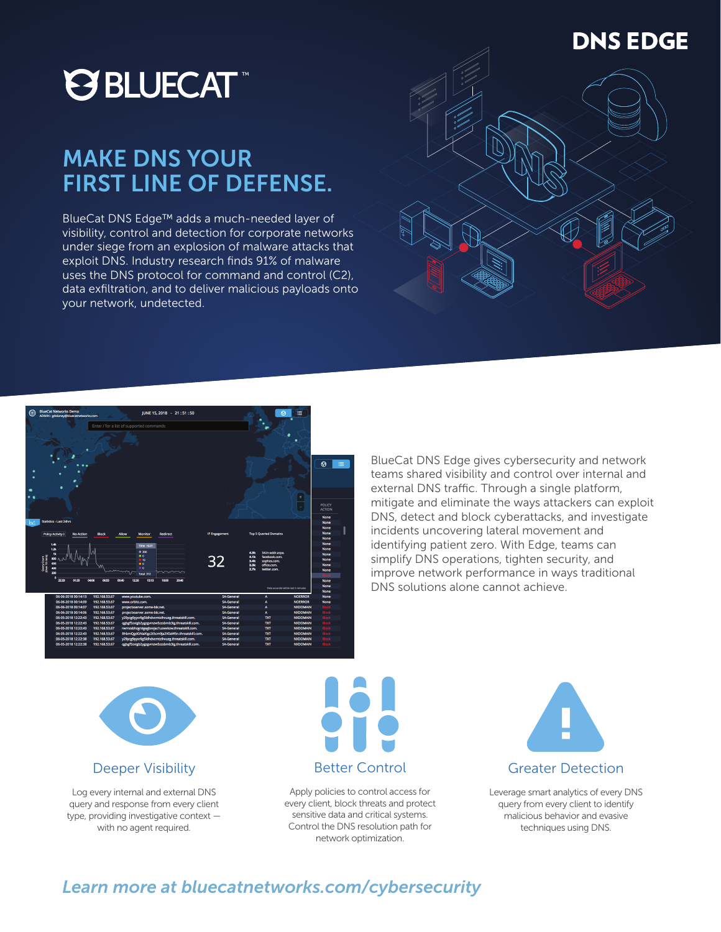# **@BLUECAT**™

## MAKE DNS YOUR FIRST LINE OF DEFENSE.

BlueCat DNS Edge™ adds a much-needed layer of visibility, control and detection for corporate networks under siege from an explosion of malware attacks that exploit DNS. Industry research finds 91% of malware uses the DNS protocol for command and control (C2), data exfiltration, and to deliver malicious payloads onto your network, undetected.





BlueCat DNS Edge gives cybersecurity and network teams shared visibility and control over internal and external DNS traffic. Through a single platform, mitigate and eliminate the ways attackers can exploit DNS, detect and block cyberattacks, and investigate incidents uncovering lateral movement and identifying patient zero. With Edge, teams can simplify DNS operations, tighten security, and improve network performance in ways traditional DNS solutions alone cannot achieve.



#### Deeper Visibility

Log every internal and external DNS query and response from every client type, providing investigative context with no agent required.



Apply policies to control access for every client, block threats and protect sensitive data and critical systems. Control the DNS resolution path for network optimization.



Leverage smart analytics of every DNS query from every client to identify malicious behavior and evasive techniques using DNS.

### *Learn more at bluecatnetworks.com/cybersecurity*